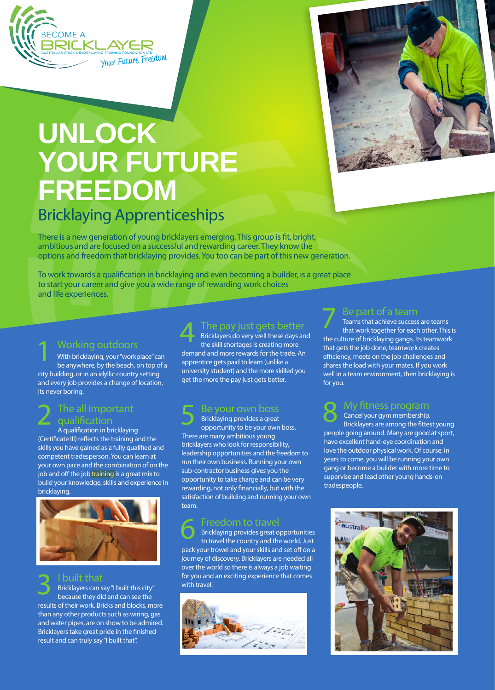

# **UNLOCK YOUR FUTURE FREEDOM**

# Bricklaying Apprenticeships

There is a new generation of young bricklayers emerging. This group is fit, bright, ambitious and are focused on a successful and rewarding career. They know the options and freedom that bricklaying provides. You too can be part of this new generation.

To work towards a qualification in bricklaying and even becoming a builder, is a great place to start your career and give you a wide range of rewarding work choices and life experiences.

#### Working outdoors

With bricklaying, your "workplace" can be anywhere, by the beach, on top of a city building, or in an idyllic country setting and every job provides a change of location, its never boring. 1

#### The all important qualification 2

A qualification in bricklaying (Certificate III) reflects the training and the skills you have gained as a fully qualified and competent tradesperson. You can learn at your own pace and the combination of on the job and off the job training is a great mix to build your knowledge, skills and experience in bricklaying.



I built that Bricklayers can say "I built this city" because they did and can see the results of their work. Bricks and blocks, more than any other products such as wiring, gas and water pipes, are on show to be admired. Bricklayers take great pride in the finished result and can truly say "I built that". 3

# The pay just gets better

Bricklayers do very well these days and the skill shortages is creating more demand and more rewards for the trade. An apprentice gets paid to learn (unlike a university student) and the more skilled you get the more the pay just gets better. 4

### Be your own boss

Bricklaying provides a great opportunity to be your own boss. There are many ambitious young bricklayers who look for responsibility, leadership opportunities and the freedom to run their own business. Running your own sub-contractor business gives you the opportunity to take charge and can be very rewarding, not only financially, but with the satisfaction of building and running your own team. 5

### Freedom to travel

Bricklaying provides great opportunities to travel the country and the world. Just pack your trowel and your skills and set off on a journey of discovery. Bricklayers are needed all over the world so there is always a job waiting for you and an exciting experience that comes with travel. 6





#### Be part of a team

Teams that achieve success are teams that work together for each other. This is the culture of bricklaying gangs. Its teamwork that gets the job done, teamwork creates efficiency, meets on the job challenges and shares the load with your mates. If you work well in a team environment, then bricklaying is for you. 7

#### My fitness program Cancel your gym membership. 8

Bricklayers are among the fittest young people going around. Many are good at sport, have excellent hand-eye coordination and love the outdoor physical work. Of course, in years to come, you will be running your own gang or become a builder with more time to supervise and lead other young hands-on tradespeople.